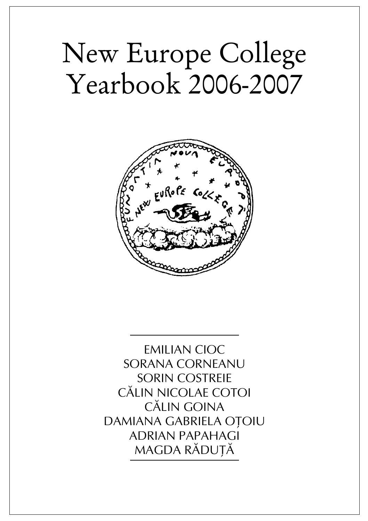# New Europe College Yearbook 2006-2007



EMILIAN CIOC SORANA CORNEANU SORIN COSTREIE CÃLIN NICOLAE COTOI CÃLIN GOINA DAMIANA GABRIELA OTOIU ADRIAN PAPAHAGI MAGDA RĂDUȚĂ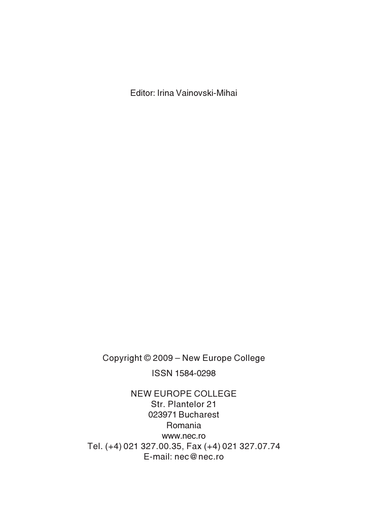Editor: Irina Vainovski-Mihai

Copyright © 2009 – New Europe College ISSN 1584-0298

NEW EUROPE COLLEGE Str. Plantelor 21 023971 Bucharest Romania www.nec.ro Tel. (+4) 021 327.00.35, Fax (+4) 021 327.07.74 E-mail: nec@nec.ro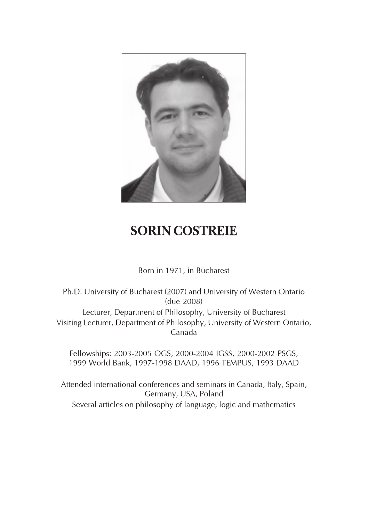

## SORIN COSTREIE

Born in 1971, in Bucharest

Ph.D. University of Bucharest (2007) and University of Western Ontario (due 2008) Lecturer, Department of Philosophy, University of Bucharest Visiting Lecturer, Department of Philosophy, University of Western Ontario, Canada

Fellowships: 2003-2005 OGS, 2000-2004 IGSS, 2000-2002 PSGS, 1999 World Bank, 1997-1998 DAAD, 1996 TEMPUS, 1993 DAAD

Attended international conferences and seminars in Canada, Italy, Spain, Germany, USA, Poland Several articles on philosophy of language, logic and mathematics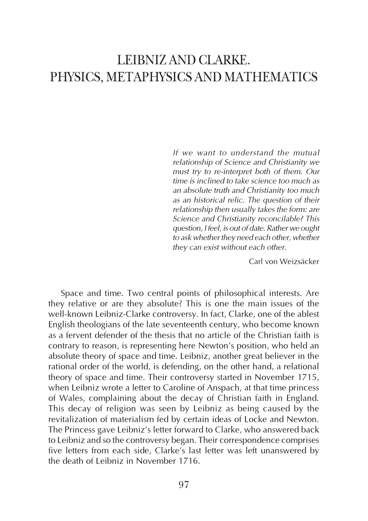## LEIBNIZ AND CLARKE. PHYSICS, METAPHYSICS AND MATHEMATICS

If we want to understand the mutual relationship of Science and Christianity we must try to re-interpret both of them. Our time is inclined to take science too much as an absolute truth and Christianity too much as an historical relic. The question of their relationship then usually takes the form: are Science and Christianity reconcilable? This question, I feel, is out of date. Rather we ought to ask whether they need each other, whether they can exist without each other.

Carl von Weizsäcker

Space and time. Two central points of philosophical interests. Are they relative or are they absolute? This is one the main issues of the well-known Leibniz-Clarke controversy. In fact, Clarke, one of the ablest English theologians of the late seventeenth century, who become known as a fervent defender of the thesis that no article of the Christian faith is contrary to reason, is representing here Newton's position, who held an absolute theory of space and time. Leibniz, another great believer in the rational order of the world, is defending, on the other hand, a relational theory of space and time. Their controversy started in November 1715, when Leibniz wrote a letter to Caroline of Anspach, at that time princess of Wales, complaining about the decay of Christian faith in England. This decay of religion was seen by Leibniz as being caused by the revitalization of materialism fed by certain ideas of Locke and Newton. The Princess gave Leibniz's letter forward to Clarke, who answered back to Leibniz and so the controversy began. Their correspondence comprises five letters from each side, Clarke's last letter was left unanswered by the death of Leibniz in November 1716.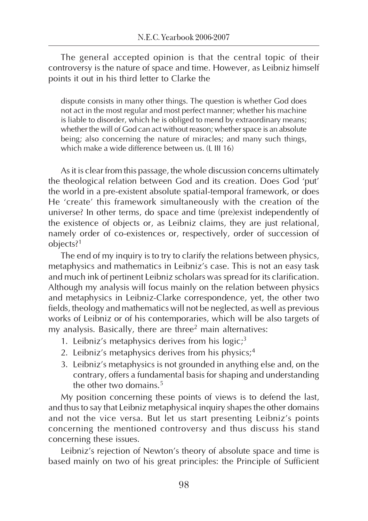The general accepted opinion is that the central topic of their controversy is the nature of space and time. However, as Leibniz himself points it out in his third letter to Clarke the

dispute consists in many other things. The question is whether God does not act in the most regular and most perfect manner; whether his machine is liable to disorder, which he is obliged to mend by extraordinary means; whether the will of God can act without reason; whether space is an absolute being; also concerning the nature of miracles; and many such things, which make a wide difference between us. (L III 16)

As it is clear from this passage, the whole discussion concerns ultimately the theological relation between God and its creation. Does God 'put' the world in a pre-existent absolute spatial-temporal framework, or does He 'create' this framework simultaneously with the creation of the universe? In other terms, do space and time (pre)exist independently of the existence of objects or, as Leibniz claims, they are just relational, namely order of co-existences or, respectively, order of succession of objects?<sup>1</sup>

The end of my inquiry is to try to clarify the relations between physics, metaphysics and mathematics in Leibniz's case. This is not an easy task and much ink of pertinent Leibniz scholars was spread for its clarification. Although my analysis will focus mainly on the relation between physics and metaphysics in Leibniz-Clarke correspondence, yet, the other two fields, theology and mathematics will not be neglected, as well as previous works of Leibniz or of his contemporaries, which will be also targets of my analysis. Basically, there are three<sup>2</sup> main alternatives:

- 1. Leibniz's metaphysics derives from his  $logic<sup>3</sup>$
- 2. Leibniz's metaphysics derives from his physics;<sup>4</sup>
- 3. Leibniz's metaphysics is not grounded in anything else and, on the contrary, offers a fundamental basis for shaping and understanding the other two domains.<sup>5</sup>

My position concerning these points of views is to defend the last, and thus to say that Leibniz metaphysical inquiry shapes the other domains and not the vice versa. But let us start presenting Leibniz's points concerning the mentioned controversy and thus discuss his stand concerning these issues.

Leibniz's rejection of Newton's theory of absolute space and time is based mainly on two of his great principles: the Principle of Sufficient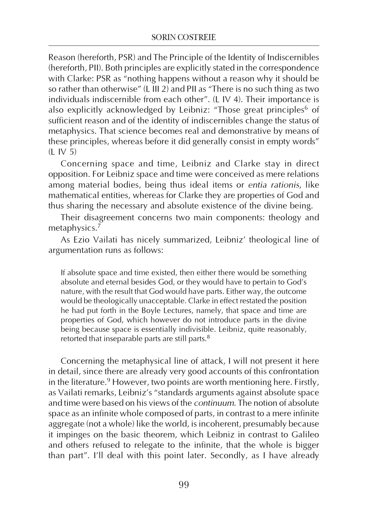Reason (hereforth, PSR) and The Principle of the Identity of Indiscernibles (hereforth, PII). Both principles are explicitly stated in the correspondence with Clarke: PSR as "nothing happens without a reason why it should be so rather than otherwise" (L III 2) and PII as "There is no such thing as two individuals indiscernible from each other". (L IV 4). Their importance is also explicitly acknowledged by Leibniz: "Those great principles<sup>6</sup> of sufficient reason and of the identity of indiscernibles change the status of metaphysics. That science becomes real and demonstrative by means of these principles, whereas before it did generally consist in empty words" (L IV 5)

Concerning space and time, Leibniz and Clarke stay in direct opposition. For Leibniz space and time were conceived as mere relations among material bodies, being thus ideal items or entia rationis, like mathematical entities, whereas for Clarke they are properties of God and thus sharing the necessary and absolute existence of the divine being.

Their disagreement concerns two main components: theology and metaphysics.<sup>7</sup>

As Ezio Vailati has nicely summarized, Leibniz' theological line of argumentation runs as follows:

If absolute space and time existed, then either there would be something absolute and eternal besides God, or they would have to pertain to God's nature, with the result that God would have parts. Either way, the outcome would be theologically unacceptable. Clarke in effect restated the position he had put forth in the Boyle Lectures, namely, that space and time are properties of God, which however do not introduce parts in the divine being because space is essentially indivisible. Leibniz, quite reasonably, retorted that inseparable parts are still parts.<sup>8</sup>

Concerning the metaphysical line of attack, I will not present it here in detail, since there are already very good accounts of this confrontation in the literature.<sup>9</sup> However, two points are worth mentioning here. Firstly, as Vailati remarks, Leibniz's "standards arguments against absolute space and time were based on his views of the continuum. The notion of absolute space as an infinite whole composed of parts, in contrast to a mere infinite aggregate (not a whole) like the world, is incoherent, presumably because it impinges on the basic theorem, which Leibniz in contrast to Galileo and others refused to relegate to the infinite, that the whole is bigger than part". I'll deal with this point later. Secondly, as I have already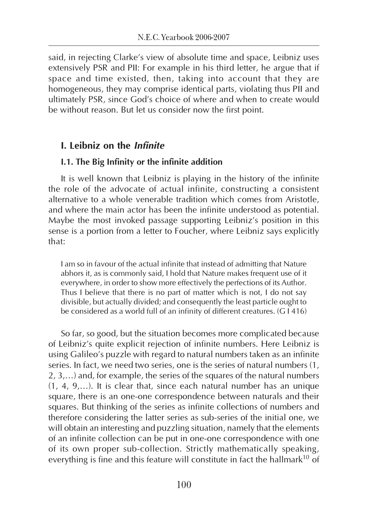said, in rejecting Clarke's view of absolute time and space, Leibniz uses extensively PSR and PII: For example in his third letter, he argue that if space and time existed, then, taking into account that they are homogeneous, they may comprise identical parts, violating thus PII and ultimately PSR, since God's choice of where and when to create would be without reason. But let us consider now the first point.

#### I. Leibniz on the Infinite

#### I.1. The Big Infinity or the infinite addition

It is well known that Leibniz is playing in the history of the infinite the role of the advocate of actual infinite, constructing a consistent alternative to a whole venerable tradition which comes from Aristotle, and where the main actor has been the infinite understood as potential. Maybe the most invoked passage supporting Leibniz's position in this sense is a portion from a letter to Foucher, where Leibniz says explicitly that:

I am so in favour of the actual infinite that instead of admitting that Nature abhors it, as is commonly said, I hold that Nature makes frequent use of it everywhere, in order to show more effectively the perfections of its Author. Thus I believe that there is no part of matter which is not, I do not say divisible, but actually divided; and consequently the least particle ought to be considered as a world full of an infinity of different creatures. (G I 416)

So far, so good, but the situation becomes more complicated because of Leibniz's quite explicit rejection of infinite numbers. Here Leibniz is using Galileo's puzzle with regard to natural numbers taken as an infinite series. In fact, we need two series, one is the series of natural numbers (1, 2, 3,…) and, for example, the series of the squares of the natural numbers (1, 4, 9,…). It is clear that, since each natural number has an unique square, there is an one-one correspondence between naturals and their squares. But thinking of the series as infinite collections of numbers and therefore considering the latter series as sub-series of the initial one, we will obtain an interesting and puzzling situation, namely that the elements of an infinite collection can be put in one-one correspondence with one of its own proper sub-collection. Strictly mathematically speaking, everything is fine and this feature will constitute in fact the hallmark<sup>10</sup> of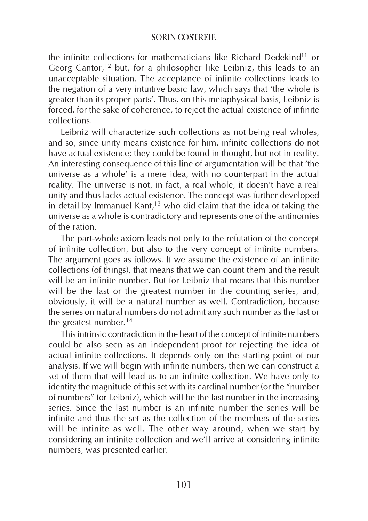the infinite collections for mathematicians like Richard Dedekind<sup>11</sup> or Georg Cantor,<sup>12</sup> but, for a philosopher like Leibniz, this leads to an unacceptable situation. The acceptance of infinite collections leads to the negation of a very intuitive basic law, which says that 'the whole is greater than its proper parts'. Thus, on this metaphysical basis, Leibniz is forced, for the sake of coherence, to reject the actual existence of infinite collections.

Leibniz will characterize such collections as not being real wholes, and so, since unity means existence for him, infinite collections do not have actual existence; they could be found in thought, but not in reality. An interesting consequence of this line of argumentation will be that 'the universe as a whole' is a mere idea, with no counterpart in the actual reality. The universe is not, in fact, a real whole, it doesn't have a real unity and thus lacks actual existence. The concept was further developed in detail by Immanuel Kant, $13$  who did claim that the idea of taking the universe as a whole is contradictory and represents one of the antinomies of the ration.

The part-whole axiom leads not only to the refutation of the concept of infinite collection, but also to the very concept of infinite numbers. The argument goes as follows. If we assume the existence of an infinite collections (of things), that means that we can count them and the result will be an infinite number. But for Leibniz that means that this number will be the last or the greatest number in the counting series, and, obviously, it will be a natural number as well. Contradiction, because the series on natural numbers do not admit any such number as the last or the greatest number.<sup>14</sup>

This intrinsic contradiction in the heart of the concept of infinite numbers could be also seen as an independent proof for rejecting the idea of actual infinite collections. It depends only on the starting point of our analysis. If we will begin with infinite numbers, then we can construct a set of them that will lead us to an infinite collection. We have only to identify the magnitude of this set with its cardinal number (or the "number of numbers" for Leibniz), which will be the last number in the increasing series. Since the last number is an infinite number the series will be infinite and thus the set as the collection of the members of the series will be infinite as well. The other way around, when we start by considering an infinite collection and we'll arrive at considering infinite numbers, was presented earlier.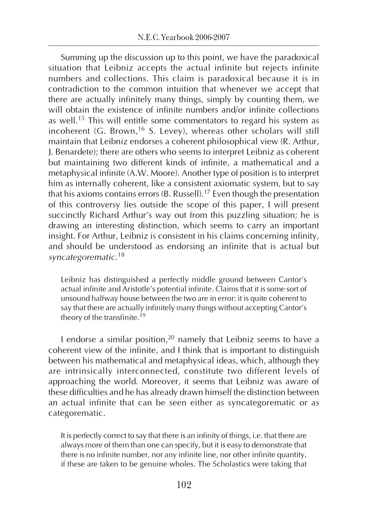Summing up the discussion up to this point, we have the paradoxical situation that Leibniz accepts the actual infinite but rejects infinite numbers and collections. This claim is paradoxical because it is in contradiction to the common intuition that whenever we accept that there are actually infinitely many things, simply by counting them, we will obtain the existence of infinite numbers and/or infinite collections as well.<sup>15</sup> This will entitle some commentators to regard his system as incoherent (G. Brown,<sup>16</sup> S. Levey), whereas other scholars will still maintain that Leibniz endorses a coherent philosophical view (R. Arthur, J. Benardete); there are others who seems to interpret Leibniz as coherent but maintaining two different kinds of infinite, a mathematical and a metaphysical infinite (A.W. Moore). Another type of position is to interpret him as internally coherent, like a consistent axiomatic system, but to say that his axioms contains errors (B. Russell).<sup>17</sup> Even though the presentation of this controversy lies outside the scope of this paper, I will present succinctly Richard Arthur's way out from this puzzling situation; he is drawing an interesting distinction, which seems to carry an important insight. For Arthur, Leibniz is consistent in his claims concerning infinity, and should be understood as endorsing an infinite that is actual but syncategorematic. 18

Leibniz has distinguished a perfectly middle ground between Cantor's actual infinite and Aristotle's potential infinite. Claims that it is some sort of unsound halfway house between the two are in error: it is quite coherent to say that there are actually infinitely many things without accepting Cantor's theory of the transfinite.<sup>19</sup>

I endorse a similar position, $20$  namely that Leibniz seems to have a coherent view of the infinite, and I think that is important to distinguish between his mathematical and metaphysical ideas, which, although they are intrinsically interconnected, constitute two different levels of approaching the world. Moreover, it seems that Leibniz was aware of these difficulties and he has already drawn himself the distinction between an actual infinite that can be seen either as syncategorematic or as categorematic.

It is perfectly correct to say that there is an infinity of things, i.e. that there are always more of them than one can specify, but it is easy to demonstrate that there is no infinite number, nor any infinite line, nor other infinite quantity, if these are taken to be genuine wholes. The Scholastics were taking that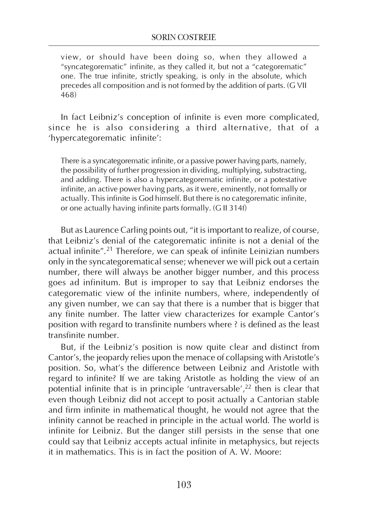view, or should have been doing so, when they allowed a "syncategorematic" infinite, as they called it, but not a "categorematic" one. The true infinite, strictly speaking, is only in the absolute, which precedes all composition and is not formed by the addition of parts. (G VII 468)

In fact Leibniz's conception of infinite is even more complicated, since he is also considering a third alternative, that of a 'hypercategorematic infinite':

There is a syncategorematic infinite, or a passive power having parts, namely, the possibility of further progression in dividing, multiplying, substracting, and adding. There is also a hypercategorematic infinite, or a potestative infinite, an active power having parts, as it were, eminently, not formally or actually. This infinite is God himself. But there is no categorematic infinite, or one actually having infinite parts formally. (G II 314f)

But as Laurence Carling points out, "it is important to realize, of course, that Leibniz's denial of the categorematic infinite is not a denial of the actual infinite".<sup>21</sup> Therefore, we can speak of infinite Leinizian numbers only in the syncategorematical sense; whenever we will pick out a certain number, there will always be another bigger number, and this process goes ad infinitum. But is improper to say that Leibniz endorses the categorematic view of the infinite numbers, where, independently of any given number, we can say that there is a number that is bigger that any finite number. The latter view characterizes for example Cantor's position with regard to transfinite numbers where ? is defined as the least transfinite number.

But, if the Leibniz's position is now quite clear and distinct from Cantor's, the jeopardy relies upon the menace of collapsing with Aristotle's position. So, what's the difference between Leibniz and Aristotle with regard to infinite? If we are taking Aristotle as holding the view of an potential infinite that is in principle 'untraversable',<sup>22</sup> then is clear that even though Leibniz did not accept to posit actually a Cantorian stable and firm infinite in mathematical thought, he would not agree that the infinity cannot be reached in principle in the actual world. The world is infinite for Leibniz. But the danger still persists in the sense that one could say that Leibniz accepts actual infinite in metaphysics, but rejects it in mathematics. This is in fact the position of A. W. Moore: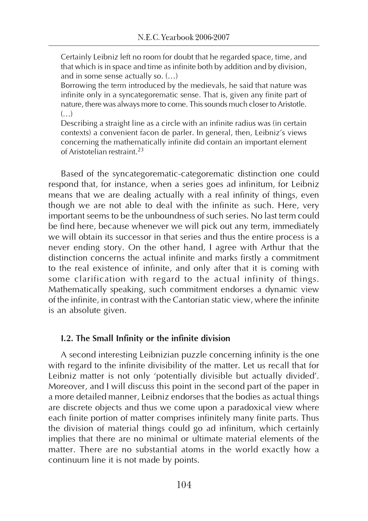Certainly Leibniz left no room for doubt that he regarded space, time, and that which is in space and time as infinite both by addition and by division, and in some sense actually so. (…)

Borrowing the term introduced by the medievals, he said that nature was infinite only in a syncategorematic sense. That is, given any finite part of nature, there was always more to come. This sounds much closer to Aristotle.  $(\ldots)$ 

Describing a straight line as a circle with an infinite radius was (in certain contexts) a convenient facon de parler. In general, then, Leibniz's views concerning the mathematically infinite did contain an important element of Aristotelian restraint 23

Based of the syncategorematic-categorematic distinction one could respond that, for instance, when a series goes ad infinitum, for Leibniz means that we are dealing actually with a real infinity of things, even though we are not able to deal with the infinite as such. Here, very important seems to be the unboundness of such series. No last term could be find here, because whenever we will pick out any term, immediately we will obtain its successor in that series and thus the entire process is a never ending story. On the other hand, I agree with Arthur that the distinction concerns the actual infinite and marks firstly a commitment to the real existence of infinite, and only after that it is coming with some clarification with regard to the actual infinity of things. Mathematically speaking, such commitment endorses a dynamic view of the infinite, in contrast with the Cantorian static view, where the infinite is an absolute given.

#### I.2. The Small Infinity or the infinite division

A second interesting Leibnizian puzzle concerning infinity is the one with regard to the infinite divisibility of the matter. Let us recall that for Leibniz matter is not only 'potentially divisible but actually divided'. Moreover, and I will discuss this point in the second part of the paper in a more detailed manner, Leibniz endorses that the bodies as actual things are discrete objects and thus we come upon a paradoxical view where each finite portion of matter comprises infinitely many finite parts. Thus the division of material things could go ad infinitum, which certainly implies that there are no minimal or ultimate material elements of the matter. There are no substantial atoms in the world exactly how a continuum line it is not made by points.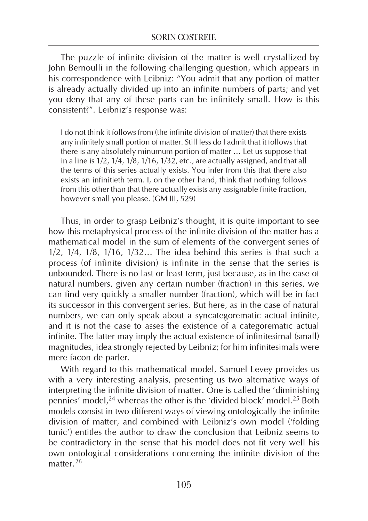The puzzle of infinite division of the matter is well crystallized by John Bernoulli in the following challenging question, which appears in his correspondence with Leibniz: "You admit that any portion of matter is already actually divided up into an infinite numbers of parts; and yet you deny that any of these parts can be infinitely small. How is this consistent?". Leibniz's response was:

I do not think it follows from (the infinite division of matter) that there exists any infinitely small portion of matter. Still less do I admit that it follows that there is any absolutely minumum portion of matter … Let us suppose that in a line is 1/2, 1/4, 1/8, 1/16, 1/32, etc., are actually assigned, and that all the terms of this series actually exists. You infer from this that there also exists an infinitieth term. I, on the other hand, think that nothing follows from this other than that there actually exists any assignable finite fraction, however small you please. (GM III, 529)

Thus, in order to grasp Leibniz's thought, it is quite important to see how this metaphysical process of the infinite division of the matter has a mathematical model in the sum of elements of the convergent series of 1/2, 1/4, 1/8, 1/16, 1/32… The idea behind this series is that such a process (of infinite division) is infinite in the sense that the series is unbounded. There is no last or least term, just because, as in the case of natural numbers, given any certain number (fraction) in this series, we can find very quickly a smaller number (fraction), which will be in fact its successor in this convergent series. But here, as in the case of natural numbers, we can only speak about a syncategorematic actual infinite, and it is not the case to asses the existence of a categorematic actual infinite. The latter may imply the actual existence of infinitesimal (small) magnitudes, idea strongly rejected by Leibniz; for him infinitesimals were mere facon de parler.

With regard to this mathematical model, Samuel Levey provides us with a very interesting analysis, presenting us two alternative ways of interpreting the infinite division of matter. One is called the 'diminishing pennies' model,<sup>24</sup> whereas the other is the 'divided block' model.<sup>25</sup> Both models consist in two different ways of viewing ontologically the infinite division of matter, and combined with Leibniz's own model ('folding tunic') entitles the author to draw the conclusion that Leibniz seems to be contradictory in the sense that his model does not fit very well his own ontological considerations concerning the infinite division of the matter.<sup>26</sup>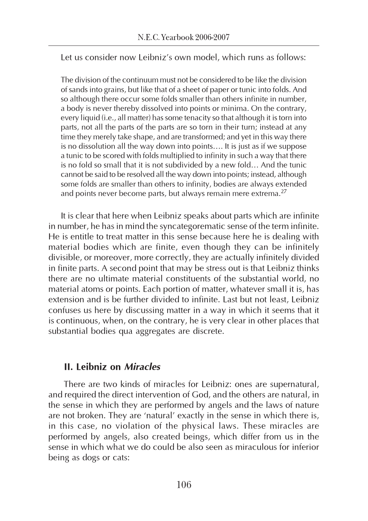Let us consider now Leibniz's own model, which runs as follows:

The division of the continuum must not be considered to be like the division of sands into grains, but like that of a sheet of paper or tunic into folds. And so although there occur some folds smaller than others infinite in number, a body is never thereby dissolved into points or minima. On the contrary, every liquid (i.e., all matter) has some tenacity so that although it is torn into parts, not all the parts of the parts are so torn in their turn; instead at any time they merely take shape, and are transformed; and yet in this way there is no dissolution all the way down into points…. It is just as if we suppose a tunic to be scored with folds multiplied to infinity in such a way that there is no fold so small that it is not subdivided by a new fold… And the tunic cannot be said to be resolved all the way down into points; instead, although some folds are smaller than others to infinity, bodies are always extended and points never become parts, but always remain mere extrema.<sup>27</sup>

It is clear that here when Leibniz speaks about parts which are infinite in number, he has in mind the syncategorematic sense of the term infinite. He is entitle to treat matter in this sense because here he is dealing with material bodies which are finite, even though they can be infinitely divisible, or moreover, more correctly, they are actually infinitely divided in finite parts. A second point that may be stress out is that Leibniz thinks there are no ultimate material constituents of the substantial world, no material atoms or points. Each portion of matter, whatever small it is, has extension and is be further divided to infinite. Last but not least, Leibniz confuses us here by discussing matter in a way in which it seems that it is continuous, when, on the contrary, he is very clear in other places that substantial bodies qua aggregates are discrete.

#### II. Leibniz on Miracles

 There are two kinds of miracles for Leibniz: ones are supernatural, and required the direct intervention of God, and the others are natural, in the sense in which they are performed by angels and the laws of nature are not broken. They are 'natural' exactly in the sense in which there is, in this case, no violation of the physical laws. These miracles are performed by angels, also created beings, which differ from us in the sense in which what we do could be also seen as miraculous for inferior being as dogs or cats: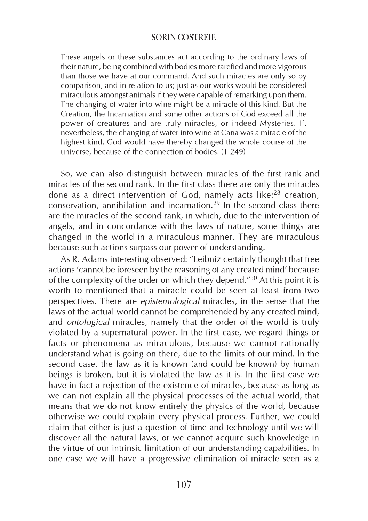These angels or these substances act according to the ordinary laws of their nature, being combined with bodies more rarefied and more vigorous than those we have at our command. And such miracles are only so by comparison, and in relation to us; just as our works would be considered miraculous amongst animals if they were capable of remarking upon them. The changing of water into wine might be a miracle of this kind. But the Creation, the Incarnation and some other actions of God exceed all the power of creatures and are truly miracles, or indeed Mysteries. If, nevertheless, the changing of water into wine at Cana was a miracle of the highest kind, God would have thereby changed the whole course of the universe, because of the connection of bodies. (T 249)

So, we can also distinguish between miracles of the first rank and miracles of the second rank. In the first class there are only the miracles done as a direct intervention of God, namely acts like:<sup>28</sup> creation, conservation, annihilation and incarnation.<sup>29</sup> In the second class there are the miracles of the second rank, in which, due to the intervention of angels, and in concordance with the laws of nature, some things are changed in the world in a miraculous manner. They are miraculous because such actions surpass our power of understanding.

As R. Adams interesting observed: "Leibniz certainly thought that free actions 'cannot be foreseen by the reasoning of any created mind' because of the complexity of the order on which they depend."<sup>30</sup> At this point it is worth to mentioned that a miracle could be seen at least from two perspectives. There are epistemological miracles, in the sense that the laws of the actual world cannot be comprehended by any created mind, and *ontological* miracles, namely that the order of the world is truly violated by a supernatural power. In the first case, we regard things or facts or phenomena as miraculous, because we cannot rationally understand what is going on there, due to the limits of our mind. In the second case, the law as it is known (and could be known) by human beings is broken, but it is violated the law as it is. In the first case we have in fact a rejection of the existence of miracles, because as long as we can not explain all the physical processes of the actual world, that means that we do not know entirely the physics of the world, because otherwise we could explain every physical process. Further, we could claim that either is just a question of time and technology until we will discover all the natural laws, or we cannot acquire such knowledge in the virtue of our intrinsic limitation of our understanding capabilities. In one case we will have a progressive elimination of miracle seen as a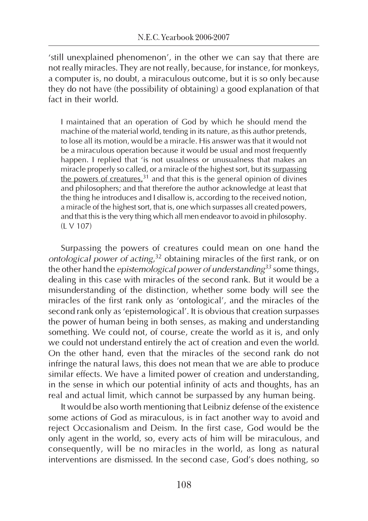'still unexplained phenomenon', in the other we can say that there are not really miracles. They are not really, because, for instance, for monkeys, a computer is, no doubt, a miraculous outcome, but it is so only because they do not have (the possibility of obtaining) a good explanation of that fact in their world.

I maintained that an operation of God by which he should mend the machine of the material world, tending in its nature, as this author pretends, to lose all its motion, would be a miracle. His answer was that it would not be a miraculous operation because it would be usual and most frequently happen. I replied that 'is not usualness or unusualness that makes an miracle properly so called, or a miracle of the highest sort, but its surpassing the powers of creatures,  $31$  and that this is the general opinion of divines and philosophers; and that therefore the author acknowledge at least that the thing he introduces and I disallow is, according to the received notion, a miracle of the highest sort, that is, one which surpasses all created powers, and that this is the very thing which all men endeavor to avoid in philosophy.  $(1 \text{ V } 107)$ 

Surpassing the powers of creatures could mean on one hand the ontological power of acting,<sup>32</sup> obtaining miracles of the first rank, or on the other hand the *epistemological power of understanding<sup>33</sup> s*ome things, dealing in this case with miracles of the second rank. But it would be a misunderstanding of the distinction, whether some body will see the miracles of the first rank only as 'ontological', and the miracles of the second rank only as 'epistemological'. It is obvious that creation surpasses the power of human being in both senses, as making and understanding something. We could not, of course, create the world as it is, and only we could not understand entirely the act of creation and even the world. On the other hand, even that the miracles of the second rank do not infringe the natural laws, this does not mean that we are able to produce similar effects. We have a limited power of creation and understanding, in the sense in which our potential infinity of acts and thoughts, has an real and actual limit, which cannot be surpassed by any human being.

It would be also worth mentioning that Leibniz defense of the existence some actions of God as miraculous, is in fact another way to avoid and reject Occasionalism and Deism. In the first case, God would be the only agent in the world, so, every acts of him will be miraculous, and consequently, will be no miracles in the world, as long as natural interventions are dismissed. In the second case, God's does nothing, so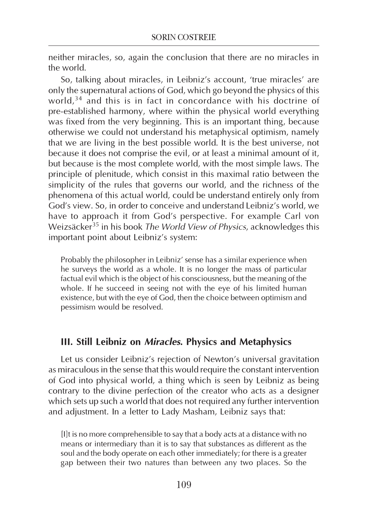neither miracles, so, again the conclusion that there are no miracles in the world.

So, talking about miracles, in Leibniz's account, 'true miracles' are only the supernatural actions of God, which go beyond the physics of this world,<sup>34</sup> and this is in fact in concordance with his doctrine of pre-established harmony, where within the physical world everything was fixed from the very beginning. This is an important thing, because otherwise we could not understand his metaphysical optimism, namely that we are living in the best possible world. It is the best universe, not because it does not comprise the evil, or at least a minimal amount of it, but because is the most complete world, with the most simple laws. The principle of plenitude, which consist in this maximal ratio between the simplicity of the rules that governs our world, and the richness of the phenomena of this actual world, could be understand entirely only from God's view. So, in order to conceive and understand Leibniz's world, we have to approach it from God's perspective. For example Carl von Weizsäcker<sup>35</sup> in his book The World View of Physics, acknowledges this important point about Leibniz's system:

Probably the philosopher in Leibniz' sense has a similar experience when he surveys the world as a whole. It is no longer the mass of particular factual evil which is the object of his consciousness, but the meaning of the whole. If he succeed in seeing not with the eye of his limited human existence, but with the eye of God, then the choice between optimism and pessimism would be resolved.

#### III. Still Leibniz on Miracles. Physics and Metaphysics

Let us consider Leibniz's rejection of Newton's universal gravitation as miraculous in the sense that this would require the constant intervention of God into physical world, a thing which is seen by Leibniz as being contrary to the divine perfection of the creator who acts as a designer which sets up such a world that does not required any further intervention and adjustment. In a letter to Lady Masham, Leibniz says that:

[I]t is no more comprehensible to say that a body acts at a distance with no means or intermediary than it is to say that substances as different as the soul and the body operate on each other immediately; for there is a greater gap between their two natures than between any two places. So the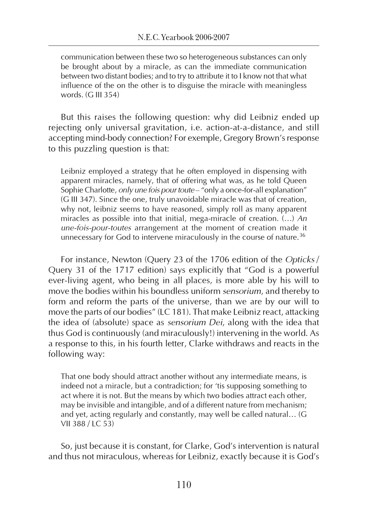communication between these two so heterogeneous substances can only be brought about by a miracle, as can the immediate communication between two distant bodies; and to try to attribute it to I know not that what influence of the on the other is to disguise the miracle with meaningless words. (G III 354)

But this raises the following question: why did Leibniz ended up rejecting only universal gravitation, i.e. action-at-a-distance, and still accepting mind-body connection? For exemple, Gregory Brown's response to this puzzling question is that:

Leibniz employed a strategy that he often employed in dispensing with apparent miracles, namely, that of offering what was, as he told Queen Sophie Charlotte, only une fois pour toute – "only a once-for-all explanation" (G III 347). Since the one, truly unavoidable miracle was that of creation, why not, leibniz seems to have reasoned, simply roll as many apparent miracles as possible into that initial, mega-miracle of creation. (…) An une-fois-pour-toutes arrangement at the moment of creation made it unnecessary for God to intervene miraculously in the course of nature.<sup>36</sup>

For instance, Newton (Query 23 of the 1706 edition of the Opticks / Query 31 of the 1717 edition) says explicitly that "God is a powerful ever-living agent, who being in all places, is more able by his will to move the bodies within his boundless uniform *sensorium*, and thereby to form and reform the parts of the universe, than we are by our will to move the parts of our bodies" (LC 181). That make Leibniz react, attacking the idea of (absolute) space as sensorium Dei, along with the idea that thus God is continuously (and miraculously!) intervening in the world. As a response to this, in his fourth letter, Clarke withdraws and reacts in the following way:

That one body should attract another without any intermediate means, is indeed not a miracle, but a contradiction; for 'tis supposing something to act where it is not. But the means by which two bodies attract each other, may be invisible and intangible, and of a different nature from mechanism; and yet, acting regularly and constantly, may well be called natural… (G VII 388/IC 53)

So, just because it is constant, for Clarke, God's intervention is natural and thus not miraculous, whereas for Leibniz, exactly because it is God's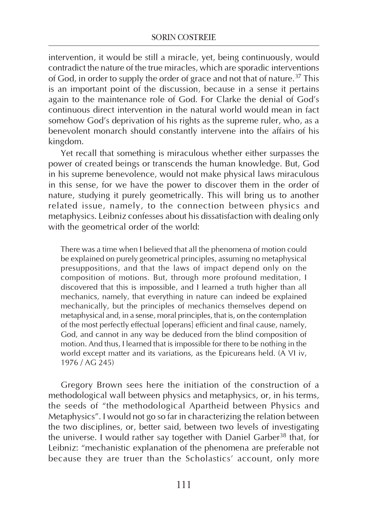intervention, it would be still a miracle, yet, being continuously, would contradict the nature of the true miracles, which are sporadic interventions of God, in order to supply the order of grace and not that of nature.<sup>37</sup> This is an important point of the discussion, because in a sense it pertains again to the maintenance role of God. For Clarke the denial of God's continuous direct intervention in the natural world would mean in fact somehow God's deprivation of his rights as the supreme ruler, who, as a benevolent monarch should constantly intervene into the affairs of his kingdom.

Yet recall that something is miraculous whether either surpasses the power of created beings or transcends the human knowledge. But, God in his supreme benevolence, would not make physical laws miraculous in this sense, for we have the power to discover them in the order of nature, studying it purely geometrically. This will bring us to another related issue, namely, to the connection between physics and metaphysics. Leibniz confesses about his dissatisfaction with dealing only with the geometrical order of the world:

There was a time when I believed that all the phenomena of motion could be explained on purely geometrical principles, assuming no metaphysical presuppositions, and that the laws of impact depend only on the composition of motions. But, through more profound meditation, I discovered that this is impossible, and I learned a truth higher than all mechanics, namely, that everything in nature can indeed be explained mechanically, but the principles of mechanics themselves depend on metaphysical and, in a sense, moral principles, that is, on the contemplation of the most perfectly effectual [operans] efficient and final cause, namely, God, and cannot in any way be deduced from the blind composition of motion. And thus, I learned that is impossible for there to be nothing in the world except matter and its variations, as the Epicureans held. (A VI iv, 1976 / AG 245)

Gregory Brown sees here the initiation of the construction of a methodological wall between physics and metaphysics, or, in his terms, the seeds of "the methodological Apartheid between Physics and Metaphysics". I would not go so far in characterizing the relation between the two disciplines, or, better said, between two levels of investigating the universe. I would rather say together with Daniel Garber<sup>38</sup> that, for Leibniz: "mechanistic explanation of the phenomena are preferable not because they are truer than the Scholastics' account, only more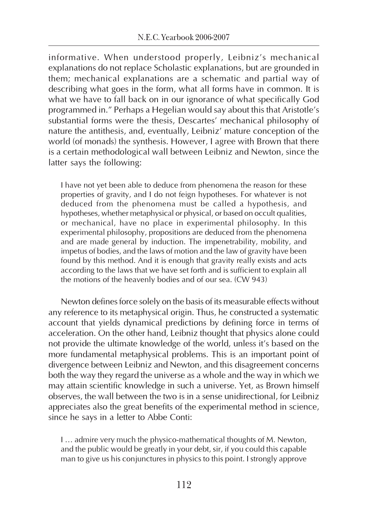informative. When understood properly, Leibniz's mechanical explanations do not replace Scholastic explanations, but are grounded in them; mechanical explanations are a schematic and partial way of describing what goes in the form, what all forms have in common. It is what we have to fall back on in our ignorance of what specifically God programmed in." Perhaps a Hegelian would say about this that Aristotle's substantial forms were the thesis, Descartes' mechanical philosophy of nature the antithesis, and, eventually, Leibniz' mature conception of the world (of monads) the synthesis. However, I agree with Brown that there is a certain methodological wall between Leibniz and Newton, since the latter says the following:

I have not yet been able to deduce from phenomena the reason for these properties of gravity, and I do not feign hypotheses. For whatever is not deduced from the phenomena must be called a hypothesis, and hypotheses, whether metaphysical or physical, or based on occult qualities, or mechanical, have no place in experimental philosophy. In this experimental philosophy, propositions are deduced from the phenomena and are made general by induction. The impenetrability, mobility, and impetus of bodies, and the laws of motion and the law of gravity have been found by this method. And it is enough that gravity really exists and acts according to the laws that we have set forth and is sufficient to explain all the motions of the heavenly bodies and of our sea. (CW 943)

Newton defines force solely on the basis of its measurable effects without any reference to its metaphysical origin. Thus, he constructed a systematic account that yields dynamical predictions by defining force in terms of acceleration. On the other hand, Leibniz thought that physics alone could not provide the ultimate knowledge of the world, unless it's based on the more fundamental metaphysical problems. This is an important point of divergence between Leibniz and Newton, and this disagreement concerns both the way they regard the universe as a whole and the way in which we may attain scientific knowledge in such a universe. Yet, as Brown himself observes, the wall between the two is in a sense unidirectional, for Leibniz appreciates also the great benefits of the experimental method in science, since he says in a letter to Abbe Conti:

I … admire very much the physico-mathematical thoughts of M. Newton, and the public would be greatly in your debt, sir, if you could this capable man to give us his conjunctures in physics to this point. I strongly approve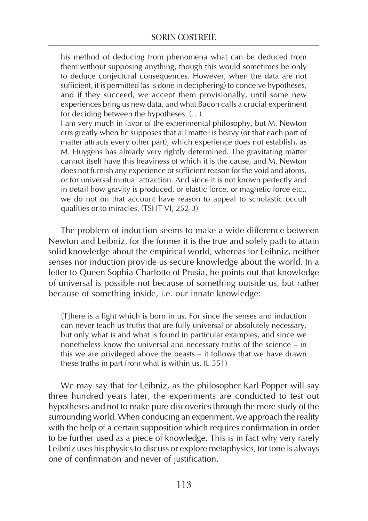his method of deducing from phenomena what can be deduced from them without supposing anything, though this would sometimes be only to deduce conjectural consequences. However, when the data are not sufficient, it is permitted (as is done in deciphering) to conceive hypotheses, and if they succeed, we accept them provisionally, until some new experiences bring us new data, and what Bacon calls a crucial experiment for deciding between the hypotheses. (…)

I am very much in favor of the experimental philosophy, but M. Newton errs greatly when he supposes that all matter is heavy (or that each part of matter attracts every other part), which experience does not establish, as M. Huygens has already very rightly determined. The gravitating matter cannot itself have this heaviness of which it is the cause, and M. Newton does not furnish any experience or sufficient reason for the void and atoms, or for universal mutual attraction. And since it is not known perfectly and in detail how gravity is produced, or elastic force, or magnetic force etc., we do not on that account have reason to appeal to scholastic occult qualities or to miracles. (TSHT VI, 252-3)

The problem of induction seems to make a wide difference between Newton and Leibniz, for the former it is the true and solely path to attain solid knowledge about the empirical world, whereas for Leibniz, neither senses nor induction provide us secure knowledge about the world. In a letter to Queen Sophia Charlotte of Prusia, he points out that knowledge of universal is possible not because of something outside us, but rather because of something inside, i.e. our innate knowledge:

[T]here is a light which is born in us. For since the senses and induction can never teach us truths that are fully universal or absolutely necessary, but only what is and what is found in particular examples, and since we nonetheless know the universal and necessary truths of the science – in this we are privileged above the beasts – it follows that we have drawn these truths in part from what is within us. (L 551)

We may say that for Leibniz, as the philosopher Karl Popper will say three hundred years later, the experiments are conducted to test out hypotheses and not to make pure discoveries through the mere study of the surrounding world. When conducing an experiment, we approach the reality with the help of a certain supposition which requires confirmation in order to be further used as a piece of knowledge. This is in fact why very rarely Leibniz uses his physics to discuss or explore metaphysics, for tone is always one of confirmation and never of justification.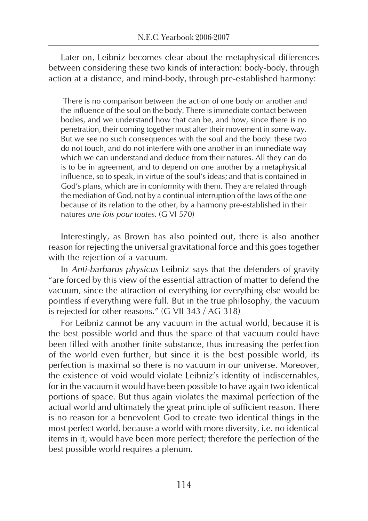Later on, Leibniz becomes clear about the metaphysical differences between considering these two kinds of interaction: body-body, through action at a distance, and mind-body, through pre-established harmony:

 There is no comparison between the action of one body on another and the influence of the soul on the body. There is immediate contact between bodies, and we understand how that can be, and how, since there is no penetration, their coming together must alter their movement in some way. But we see no such consequences with the soul and the body: these two do not touch, and do not interfere with one another in an immediate way which we can understand and deduce from their natures. All they can do is to be in agreement, and to depend on one another by a metaphysical influence, so to speak, in virtue of the soul's ideas; and that is contained in God's plans, which are in conformity with them. They are related through the mediation of God, not by a continual interruption of the laws of the one because of its relation to the other, by a harmony pre-established in their natures une fois pour toutes. (G VI 570)

Interestingly, as Brown has also pointed out, there is also another reason for rejecting the universal gravitational force and this goes together with the rejection of a vacuum.

In Anti-barbarus physicus Leibniz says that the defenders of gravity "are forced by this view of the essential attraction of matter to defend the vacuum, since the attraction of everything for everything else would be pointless if everything were full. But in the true philosophy, the vacuum is rejected for other reasons." (G VII 343 / AG 318)

For Leibniz cannot be any vacuum in the actual world, because it is the best possible world and thus the space of that vacuum could have been filled with another finite substance, thus increasing the perfection of the world even further, but since it is the best possible world, its perfection is maximal so there is no vacuum in our universe. Moreover, the existence of void would violate Leibniz's identity of indiscernables, for in the vacuum it would have been possible to have again two identical portions of space. But thus again violates the maximal perfection of the actual world and ultimately the great principle of sufficient reason. There is no reason for a benevolent God to create two identical things in the most perfect world, because a world with more diversity, i.e. no identical items in it, would have been more perfect; therefore the perfection of the best possible world requires a plenum.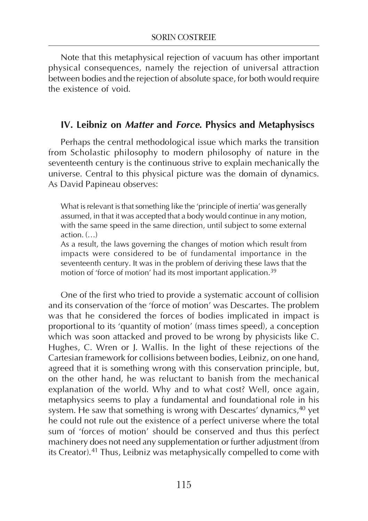Note that this metaphysical rejection of vacuum has other important physical consequences, namely the rejection of universal attraction between bodies and the rejection of absolute space, for both would require the existence of void.

#### IV. Leibniz on Matter and Force. Physics and Metaphysiscs

Perhaps the central methodological issue which marks the transition from Scholastic philosophy to modern philosophy of nature in the seventeenth century is the continuous strive to explain mechanically the universe. Central to this physical picture was the domain of dynamics. As David Papineau observes:

What is relevant is that something like the 'principle of inertia' was generally assumed, in that it was accepted that a body would continue in any motion, with the same speed in the same direction, until subject to some external  $action. (...)$ 

As a result, the laws governing the changes of motion which result from impacts were considered to be of fundamental importance in the seventeenth century. It was in the problem of deriving these laws that the motion of 'force of motion' had its most important application.<sup>39</sup>

One of the first who tried to provide a systematic account of collision and its conservation of the 'force of motion' was Descartes. The problem was that he considered the forces of bodies implicated in impact is proportional to its 'quantity of motion' (mass times speed), a conception which was soon attacked and proved to be wrong by physicists like C. Hughes, C. Wren or J. Wallis. In the light of these rejections of the Cartesian framework for collisions between bodies, Leibniz, on one hand, agreed that it is something wrong with this conservation principle, but, on the other hand, he was reluctant to banish from the mechanical explanation of the world. Why and to what cost? Well, once again, metaphysics seems to play a fundamental and foundational role in his system. He saw that something is wrong with Descartes' dynamics, <sup>40</sup> yet he could not rule out the existence of a perfect universe where the total sum of 'forces of motion' should be conserved and thus this perfect machinery does not need any supplementation or further adjustment (from its Creator).41 Thus, Leibniz was metaphysically compelled to come with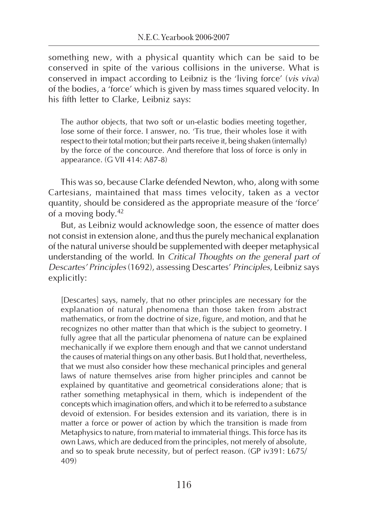something new, with a physical quantity which can be said to be conserved in spite of the various collisions in the universe. What is conserved in impact according to Leibniz is the 'living force' (vis viva) of the bodies, a 'force' which is given by mass times squared velocity. In his fifth letter to Clarke, Leibniz says:

The author objects, that two soft or un-elastic bodies meeting together, lose some of their force. I answer, no. 'Tis true, their wholes lose it with respect to their total motion; but their parts receive it, being shaken (internally) by the force of the concource. And therefore that loss of force is only in appearance. (G VII 414: A87-8)

This was so, because Clarke defended Newton, who, along with some Cartesians, maintained that mass times velocity, taken as a vector quantity, should be considered as the appropriate measure of the 'force' of a moving body.<sup>42</sup>

But, as Leibniz would acknowledge soon, the essence of matter does not consist in extension alone, and thus the purely mechanical explanation of the natural universe should be supplemented with deeper metaphysical understanding of the world. In Critical Thoughts on the general part of Descartes' Principles (1692), assessing Descartes' Principles, Leibniz says explicitly:

[Descartes] says, namely, that no other principles are necessary for the explanation of natural phenomena than those taken from abstract mathematics, or from the doctrine of size, figure, and motion, and that he recognizes no other matter than that which is the subject to geometry. I fully agree that all the particular phenomena of nature can be explained mechanically if we explore them enough and that we cannot understand the causes of material things on any other basis. But I hold that, nevertheless, that we must also consider how these mechanical principles and general laws of nature themselves arise from higher principles and cannot be explained by quantitative and geometrical considerations alone; that is rather something metaphysical in them, which is independent of the concepts which imagination offers, and which it to be referred to a substance devoid of extension. For besides extension and its variation, there is in matter a force or power of action by which the transition is made from Metaphysics to nature, from material to immaterial things. This force has its own Laws, which are deduced from the principles, not merely of absolute, and so to speak brute necessity, but of perfect reason. (GP iv391: L675/ 409)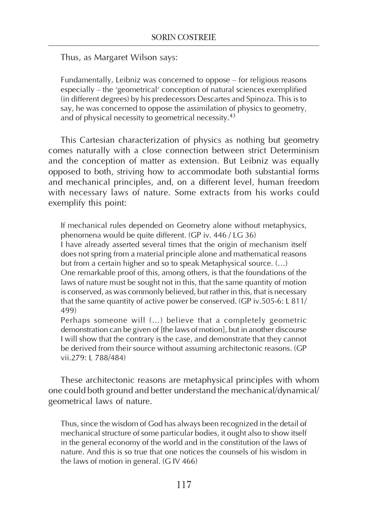Thus, as Margaret Wilson says:

Fundamentally, Leibniz was concerned to oppose – for religious reasons especially – the 'geometrical' conception of natural sciences exemplified (in different degrees) by his predecessors Descartes and Spinoza. This is to say, he was concerned to oppose the assimilation of physics to geometry, and of physical necessity to geometrical necessity.<sup>43</sup>

This Cartesian characterization of physics as nothing but geometry comes naturally with a close connection between strict Determinism and the conception of matter as extension. But Leibniz was equally opposed to both, striving how to accommodate both substantial forms and mechanical principles, and, on a different level, human freedom with necessary laws of nature. Some extracts from his works could exemplify this point:

If mechanical rules depended on Geometry alone without metaphysics, phenomena would be quite different. (GP iv. 446 / LG 36)

I have already asserted several times that the origin of mechanism itself does not spring from a material principle alone and mathematical reasons but from a certain higher and so to speak Metaphysical source. (…)

One remarkable proof of this, among others, is that the foundations of the laws of nature must be sought not in this, that the same quantity of motion is conserved, as was commonly believed, but rather in this, that is necessary that the same quantity of active power be conserved. (GP iv.505-6: L 811/ 499)

Perhaps someone will (…) believe that a completely geometric demonstration can be given of [the laws of motion], but in another discourse I will show that the contrary is the case, and demonstrate that they cannot be derived from their source without assuming architectonic reasons. (GP vii.279: L 788/484)

These architectonic reasons are metaphysical principles with whom one could both ground and better understand the mechanical/dynamical/ geometrical laws of nature.

Thus, since the wisdom of God has always been recognized in the detail of mechanical structure of some particular bodies, it ought also to show itself in the general economy of the world and in the constitution of the laws of nature. And this is so true that one notices the counsels of his wisdom in the laws of motion in general. (G IV 466)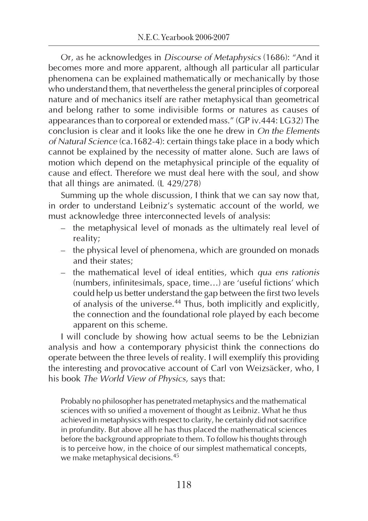Or, as he acknowledges in Discourse of Metaphysics (1686): "And it becomes more and more apparent, although all particular all particular phenomena can be explained mathematically or mechanically by those who understand them, that nevertheless the general principles of corporeal nature and of mechanics itself are rather metaphysical than geometrical and belong rather to some indivisible forms or natures as causes of appearances than to corporeal or extended mass." (GP iv.444: LG32) The conclusion is clear and it looks like the one he drew in On the Elements of Natural Science (ca.1682-4): certain things take place in a body which cannot be explained by the necessity of matter alone. Such are laws of motion which depend on the metaphysical principle of the equality of cause and effect. Therefore we must deal here with the soul, and show that all things are animated. (L 429/278)

Summing up the whole discussion, I think that we can say now that, in order to understand Leibniz's systematic account of the world, we must acknowledge three interconnected levels of analysis:

- the metaphysical level of monads as the ultimately real level of reality;
- the physical level of phenomena, which are grounded on monads and their states;
- the mathematical level of ideal entities, which qua ens rationis (numbers, infinitesimals, space, time…) are 'useful fictions' which could help us better understand the gap between the first two levels of analysis of the universe.<sup>44</sup> Thus, both implicitly and explicitly, the connection and the foundational role played by each become apparent on this scheme.

I will conclude by showing how actual seems to be the Lebnizian analysis and how a contemporary physicist think the connections do operate between the three levels of reality. I will exemplify this providing the interesting and provocative account of Carl von Weizsäcker, who, I his book The World View of Physics, says that:

Probably no philosopher has penetrated metaphysics and the mathematical sciences with so unified a movement of thought as Leibniz. What he thus achieved in metaphysics with respect to clarity, he certainly did not sacrifice in profundity. But above all he has thus placed the mathematical sciences before the background appropriate to them. To follow his thoughts through is to perceive how, in the choice of our simplest mathematical concepts, we make metaphysical decisions.<sup>45</sup>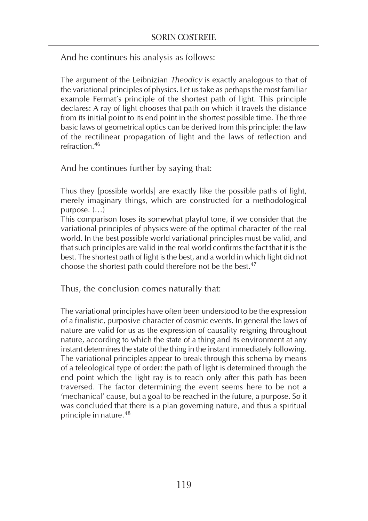And he continues his analysis as follows:

The argument of the Leibnizian Theodicy is exactly analogous to that of the variational principles of physics. Let us take as perhaps the most familiar example Fermat's principle of the shortest path of light. This principle declares: A ray of light chooses that path on which it travels the distance from its initial point to its end point in the shortest possible time. The three basic laws of geometrical optics can be derived from this principle: the law of the rectilinear propagation of light and the laws of reflection and refraction.<sup>46</sup>

And he continues further by saying that:

Thus they [possible worlds] are exactly like the possible paths of light, merely imaginary things, which are constructed for a methodological purpose. (…)

This comparison loses its somewhat playful tone, if we consider that the variational principles of physics were of the optimal character of the real world. In the best possible world variational principles must be valid, and that such principles are valid in the real world confirms the fact that it is the best. The shortest path of light is the best, and a world in which light did not choose the shortest path could therefore not be the best.<sup>47</sup>

Thus, the conclusion comes naturally that:

The variational principles have often been understood to be the expression of a finalistic, purposive character of cosmic events. In general the laws of nature are valid for us as the expression of causality reigning throughout nature, according to which the state of a thing and its environment at any instant determines the state of the thing in the instant immediately following. The variational principles appear to break through this schema by means of a teleological type of order: the path of light is determined through the end point which the light ray is to reach only after this path has been traversed. The factor determining the event seems here to be not a 'mechanical' cause, but a goal to be reached in the future, a purpose. So it was concluded that there is a plan governing nature, and thus a spiritual principle in nature.<sup>48</sup>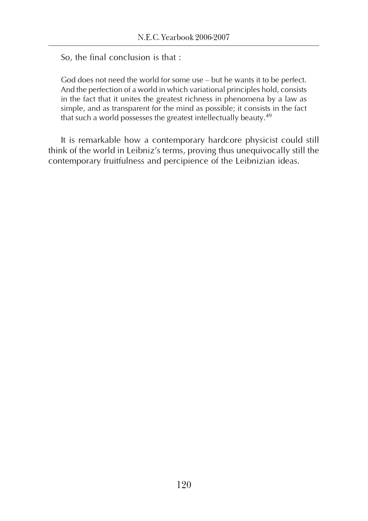So, the final conclusion is that :

God does not need the world for some use – but he wants it to be perfect. And the perfection of a world in which variational principles hold, consists in the fact that it unites the greatest richness in phenomena by a law as simple, and as transparent for the mind as possible; it consists in the fact that such a world possesses the greatest intellectually beauty.<sup>49</sup>

It is remarkable how a contemporary hardcore physicist could still think of the world in Leibniz's terms, proving thus unequivocally still the contemporary fruitfulness and percipience of the Leibnizian ideas.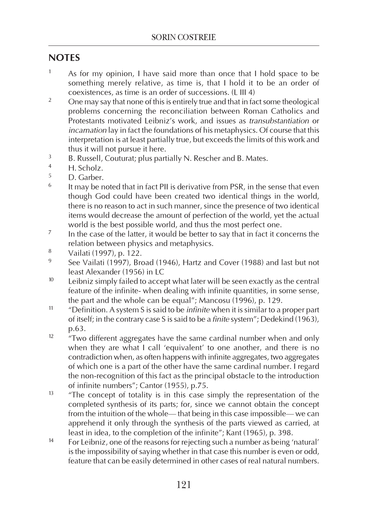### **NOTES**

- <sup>1</sup> As for my opinion, I have said more than once that I hold space to be something merely relative, as time is, that I hold it to be an order of coexistences, as time is an order of successions. (L III 4)
- <sup>2</sup> One may say that none of this is entirely true and that in fact some theological problems concerning the reconciliation between Roman Catholics and Protestants motivated Leibniz's work, and issues as transubstantiation or incarnation lay in fact the foundations of his metaphysics. Of course that this interpretation is at least partially true, but exceeds the limits of this work and thus it will not pursue it here.
- <sup>3</sup> B. Russell, Couturat; plus partially N. Rescher and B. Mates.
- $\frac{4}{5}$  H. Scholz.
- $\frac{5}{6}$  D. Garber.
- It may be noted that in fact PII is derivative from PSR, in the sense that even though God could have been created two identical things in the world, there is no reason to act in such manner, since the presence of two identical items would decrease the amount of perfection of the world, yet the actual world is the best possible world, and thus the most perfect one.
- $7$  In the case of the latter, it would be better to say that in fact it concerns the relation between physics and metaphysics.
- <sup>8</sup> Vailati (1997), p. 122.
- See Vailati (1997), Broad (1946), Hartz and Cover (1988) and last but not least Alexander (1956) in LC
- $10$  Leibniz simply failed to accept what later will be seen exactly as the central feature of the infinite- when dealing with infinite quantities, in some sense, the part and the whole can be equal"; Mancosu (1996), p. 129.
- <sup>11</sup> "Definition. A system S is said to be *infinite* when it is similar to a proper part of itself; in the contrary case S is said to be a finite system"; Dedekind (1963), p.63.
- $12$   $\frac{1}{2}$   $\frac{1}{2}$  Two different aggregates have the same cardinal number when and only when they are what I call 'equivalent' to one another, and there is no contradiction when, as often happens with infinite aggregates, two aggregates of which one is a part of the other have the same cardinal number. I regard the non-recognition of this fact as the principal obstacle to the introduction of infinite numbers"; Cantor (1955), p.75.
- $13$  "The concept of totality is in this case simply the representation of the completed synthesis of its parts; for, since we cannot obtain the concept from the intuition of the whole— that being in this case impossible— we can apprehend it only through the synthesis of the parts viewed as carried, at least in idea, to the completion of the infinite"; Kant (1965), p. 398.
- <sup>14</sup> For Leibniz, one of the reasons for rejecting such a number as being 'natural' is the impossibility of saying whether in that case this number is even or odd, feature that can be easily determined in other cases of real natural numbers.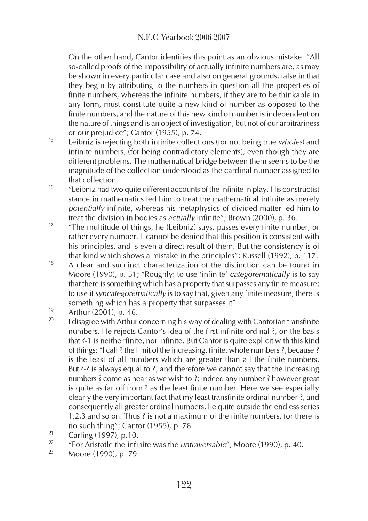On the other hand, Cantor identifies this point as an obvious mistake: "All so-called proofs of the impossibility of actually infinite numbers are, as may be shown in every particular case and also on general grounds, false in that they begin by attributing to the numbers in question all the properties of finite numbers, whereas the infinite numbers, if they are to be thinkable in any form, must constitute quite a new kind of number as opposed to the finite numbers, and the nature of this new kind of number is independent on the nature of things and is an object of investigation, but not of our arbitrariness or our prejudice"; Cantor (1955), p. 74.

- <sup>15</sup> Leibniz is rejecting both infinite collections (for not being true *wholes*) and infinite numbers, (for being contradictory elements), even though they are different problems. The mathematical bridge between them seems to be the magnitude of the collection understood as the cardinal number assigned to that collection.
- <sup>16</sup> "Leibniz had two quite different accounts of the infinite in play. His constructist stance in mathematics led him to treat the mathematical infinite as merely potentially infinite, whereas his metaphysics of divided matter led him to treat the division in bodies as actually infinite"; Brown (2000), p. 36.
- <sup>17</sup> "The multitude of things, he (Leibniz) says, passes every finite number, or rather every number. It cannot be denied that this position is consistent with his principles, and is even a direct result of them. But the consistency is of that kind which shows a mistake in the principles"; Russell (1992), p. 117.
- $18$  A clear and succinct characterization of the distinction can be found in Moore (1990), p. 51; "Roughly: to use 'infinite' categorematically is to say that there is something which has a property that surpasses any finite measure; to use it syncategorematically is to say that, given any finite measure, there is something which has a property that surpasses it".
- $19$  Arthur (2001), p. 46.
- I disagree with Arthur concerning his way of dealing with Cantorian transfinite numbers. He rejects Cantor's idea of the first infinite ordinal ?, on the basis that ?-1 is neither finite, nor infinite. But Cantor is quite explicit with this kind of things: "I call ? the limit of the increasing, finite, whole numbers ?, because ? is the least of all numbers which are greater than all the finite numbers. But  $3-3$  is always equal to  $3$ , and therefore we cannot say that the increasing numbers ? come as near as we wish to ?; indeed any number ? however great is quite as far off from ? as the least finite number. Here we see especially clearly the very important fact that my least transfinite ordinal number ?, and consequently all greater ordinal numbers, lie quite outside the endless series 1,2,3 and so on. Thus ? is not a maximum of the finite numbers, for there is no such thing"; Cantor (1955), p. 78.
- <sup>21</sup> Carling (1997), p.10.
- <sup>22</sup> "For Aristotle the infinite was the *untraversable"*; Moore (1990), p. 40.<br><sup>23</sup> Moore (1990), p. 79
- <sup>23</sup> Moore (1990), p. 79.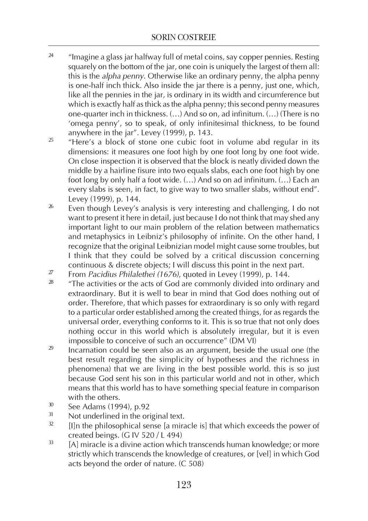- <sup>24</sup> "Imagine a glass jar halfway full of metal coins, say copper pennies. Resting squarely on the bottom of the jar, one coin is uniquely the largest of them all: this is the alpha penny. Otherwise like an ordinary penny, the alpha penny is one-half inch thick. Also inside the jar there is a penny, just one, which, like all the pennies in the jar, is ordinary in its width and circumference but which is exactly half as thick as the alpha penny; this second penny measures one-quarter inch in thickness. (…) And so on, ad infinitum. (…) (There is no 'omega penny', so to speak, of only infinitesimal thickness, to be found anywhere in the jar". Levey (1999), p. 143.
- $25$  "Here's a block of stone one cubic foot in volume abd regular in its dimensions: it measures one foot high by one foot long by one foot wide. On close inspection it is observed that the block is neatly divided down the middle by a hairline fisure into two equals slabs, each one foot high by one foot long by only half a foot wide. (…) And so on ad infinitum. (…) Each an every slabs is seen, in fact, to give way to two smaller slabs, without end". Levey (1999), p. 144.
- $26$  Even though Levey's analysis is very interesting and challenging, I do not want to present it here in detail, just because I do not think that may shed any important light to our main problem of the relation between mathematics and metaphysics in Leibniz's philosophy of infinite. On the other hand, I recognize that the original Leibnizian model might cause some troubles, but I think that they could be solved by a critical discussion concerning continuous & discrete objects; I will discuss this point in the next part.
- <sup>27</sup> From *Pacidius Philalethei (1676)*, quoted in Levey (1999), p. 144.
- "The activities or the acts of God are commonly divided into ordinary and extraordinary. But it is well to bear in mind that God does nothing out of order. Therefore, that which passes for extraordinary is so only with regard to a particular order established among the created things, for as regards the universal order, everything conforms to it. This is so true that not only does nothing occur in this world which is absolutely irregular, but it is even impossible to conceive of such an occurrence" (DM VI)
- $29$  Incarnation could be seen also as an argument, beside the usual one (the best result regarding the simplicity of hypotheses and the richness in phenomena) that we are living in the best possible world. this is so just because God sent his son in this particular world and not in other, which means that this world has to have something special feature in comparison with the others.
- $30$  See Adams (1994), p.92
- $31$  Not underlined in the original text.
- [I]n the philosophical sense [a miracle is] that which exceeds the power of created beings. (G IV 520 / L 494)
- $33$  [A] miracle is a divine action which transcends human knowledge; or more strictly which transcends the knowledge of creatures, or [vel] in which God acts beyond the order of nature. (C 508)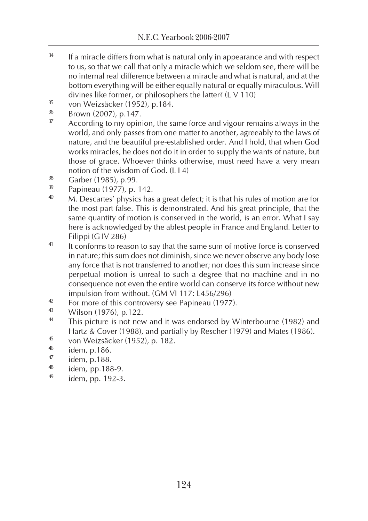- $34$  If a miracle differs from what is natural only in appearance and with respect to us, so that we call that only a miracle which we seldom see, there will be no internal real difference between a miracle and what is natural, and at the bottom everything will be either equally natural or equally miraculous. Will divines like former, or philosophers the latter? (L V 110)
- $\frac{35}{36}$  von Weizsäcker (1952), p.184.
- $\frac{36}{37}$  Brown (2007), p.147.
- According to my opinion, the same force and vigour remains always in the world, and only passes from one matter to another, agreeably to the laws of nature, and the beautiful pre-established order. And I hold, that when God works miracles, he does not do it in order to supply the wants of nature, but those of grace. Whoever thinks otherwise, must need have a very mean notion of the wisdom of God. (L I 4)
- $\frac{38}{39}$  Garber (1985), p.99.
- $\frac{39}{40}$  Papineau (1977), p. 142.
- M. Descartes' physics has a great defect; it is that his rules of motion are for the most part false. This is demonstrated. And his great principle, that the same quantity of motion is conserved in the world, is an error. What I say here is acknowledged by the ablest people in France and England. Letter to Filippi (G IV 286)
- <sup>41</sup> It conforms to reason to say that the same sum of motive force is conserved in nature; this sum does not diminish, since we never observe any body lose any force that is not transferred to another; nor does this sum increase since perpetual motion is unreal to such a degree that no machine and in no consequence not even the entire world can conserve its force without new impulsion from without. (GM VI 117: L456/296)
- $\frac{42}{13}$  For more of this controversy see Papineau (1977).
- $\frac{43}{44}$  Wilson (1976), p.122.
- This picture is not new and it was endorsed by Winterbourne (1982) and Hartz & Cover (1988), and partially by Rescher (1979) and Mates (1986).
- 45 von Weizsäcker (1952), p. 182.
- $^{46}$  idem, p.186.
- $^{47}$  idem, p.188.
- $^{48}$  idem, pp.188-9.
- idem, pp. 192-3.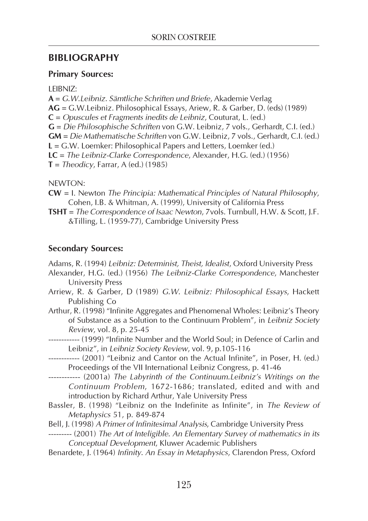#### BIBLIOGRAPHY

#### Primary Sources:

LEIBNIZ:

A = G.W.Leibniz. Sämtliche Schriften und Briefe, Akademie Verlag AG = G.W.Leibniz. Philosophical Essays, Ariew, R. & Garber, D. (eds) (1989) C = Opuscules et Fragments inedits de Leibniz, Couturat, L. (ed.) G = Die Philosophische Schriften von G.W. Leibniz, 7 vols., Gerhardt, C.I. (ed.) GM = Die Mathematische Schriften von G.W. Leibniz, 7 vols., Gerhardt, C.I. (ed.) L = G.W. Loemker: Philosophical Papers and Letters, Loemker (ed.) LC = The Leibniz-Clarke Correspondence, Alexander, H.G. (ed.) (1956)  $T = Theodicy, Farrar, A (ed.) (1985)$ 

NEWTON:

- CW = I. Newton The Principia: Mathematical Principles of Natural Philosophy, Cohen, I.B. & Whitman, A. (1999), University of California Press
- TSHT = The Correspondence of Isaac Newton, 7vols. Turnbull, H.W. & Scott, J.F. &Tilling, L. (1959-77), Cambridge University Press

#### Secondary Sources:

Adams, R. (1994) Leibniz: Determinist, Theist, Idealist, Oxford University Press

- Alexander, H.G. (ed.) (1956) The Leibniz-Clarke Correspondence, Manchester University Press
- Arriew, R. & Garber, D (1989) G.W. Leibniz: Philosophical Essays, Hackett Publishing Co
- Arthur, R. (1998) "Infinite Aggregates and Phenomenal Wholes: Leibniz's Theory of Substance as a Solution to the Continuum Problem", in Leibniz Society Review, vol. 8, p. 25-45
- ------------ (1999) "Infinite Number and the World Soul; in Defence of Carlin and Leibniz", in Leibniz Society Review, vol. 9, p.105-116
- ------------ (2001) "Leibniz and Cantor on the Actual Infinite", in Poser, H. (ed.) Proceedings of the VII International Leibniz Congress, p. 41-46
- ------------ (2001a) The Labyrinth of the Continuum.Leibniz's Writings on the Continuum Problem, 1672-1686; translated, edited and with and introduction by Richard Arthur, Yale University Press
- Bassler, B. (1998) "Leibniz on the Indefinite as Infinite", in The Review of Metaphysics 51, p. 849-874
- Bell, J. (1998) A Primer of Infinitesimal Analysis, Cambridge University Press
- --------- (2001) The Art of Inteligible. An Elementary Survey of mathematics in its Conceptual Development, Kluwer Academic Publishers
- Benardete, J. (1964) Infinity. An Essay in Metaphysics, Clarendon Press, Oxford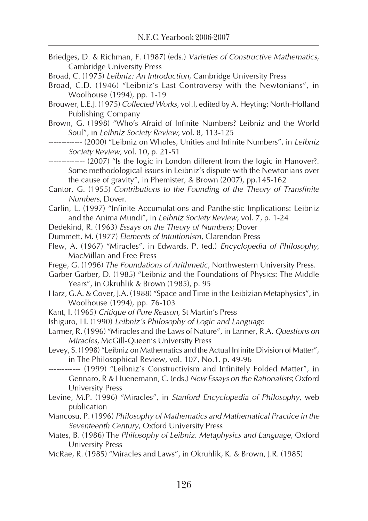- Briedges, D. & Richman, F. (1987) (eds.) Varieties of Constructive Mathematics, Cambridge University Press
- Broad, C. (1975) Leibniz: An Introduction, Cambridge University Press
- Broad, C.D. (1946) "Leibniz's Last Controversy with the Newtonians", in Woolhouse (1994), pp. 1-19
- Brouwer, L.E.J. (1975) Collected Works, vol.I, edited by A. Heyting; North-Holland Publishing Company
- Brown, G. (1998) "Who's Afraid of Infinite Numbers? Leibniz and the World Soul", in Leibniz Society Review, vol. 8, 113-125
- ------------- (2000) "Leibniz on Wholes, Unities and Infinite Numbers", in Leibniz Society Review, vol. 10, p. 21-51
- -------------- (2007) "Is the logic in London different from the logic in Hanover?. Some methodological issues in Leibniz's dispute with the Newtonians over the cause of gravity", in Phemister, & Brown (2007), pp.145-162
- Cantor, G. (1955) Contributions to the Founding of the Theory of Transfinite Numbers, Dover.

Carlin, L. (1997) "Infinite Accumulations and Pantheistic Implications: Leibniz and the Anima Mundi", in Leibniz Society Review, vol. 7, p. 1-24

- Dedekind, R. (1963) Essays on the Theory of Numbers; Dover
- Dummett, M. (1977) Elements of Intuitionism, Clarendon Press
- Flew, A. (1967) "Miracles", in Edwards, P. (ed.) Encyclopedia of Philosophy, MacMillan and Free Press
- Frege, G. (1996) The Foundations of Arithmetic, Northwestern University Press.
- Garber Garber, D. (1985) "Leibniz and the Foundations of Physics: The Middle Years", in Okruhlik & Brown (1985), p. 95
- Harz, G.A. & Cover, J.A. (1988) "Space and Time in the Leibizian Metaphysics", in Woolhouse (1994), pp. 76-103
- Kant, I. (1965) Critique of Pure Reason, St Martin's Press
- Ishiguro, H. (1990) Leibniz's Philosophy of Logic and Language
- Larmer, R. (1996) "Miracles and the Laws of Nature", in Larmer, R.A. Questions on Miracles, McGill-Queen's University Press
- Levey, S. (1998) "Leibniz on Mathematics and the Actual Infinite Division of Matter", in The Philosophical Review, vol. 107, No.1. p. 49-96
- ------------ (1999) "Leibniz's Constructivism and Infinitely Folded Matter", in Gennaro, R & Huenemann, C. (eds.) New Essays on the Rationalists; Oxford University Press
- Levine, M.P. (1996) "Miracles", in Stanford Encyclopedia of Philosophy, web publication
- Mancosu, P. (1996) Philosophy of Mathematics and Mathematical Practice in the Seventeenth Century, Oxford University Press
- Mates, B. (1986) The Philosophy of Leibniz. Metaphysics and Language, Oxford University Press
- McRae, R. (1985) "Miracles and Laws", in Okruhlik, K. & Brown, J.R. (1985)